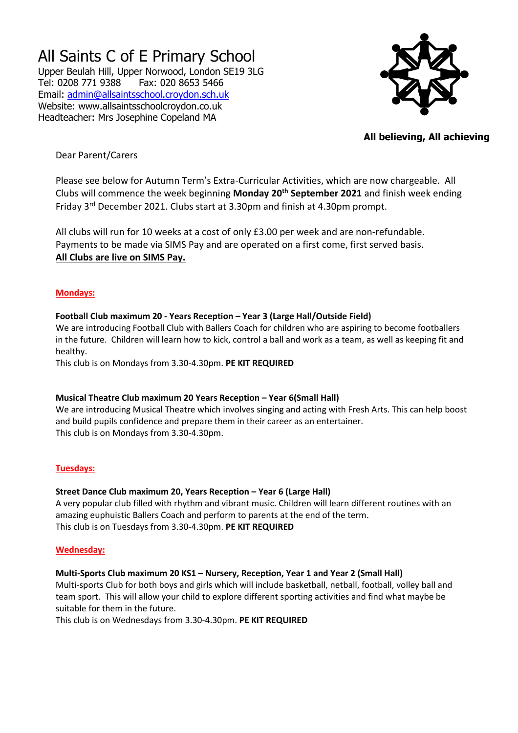# All Saints C of E Primary School

Upper Beulah Hill, Upper Norwood, London SE19 3LG Tel: 0208 771 9388 Fax: 020 8653 5466 Email: [admin@allsaintsschool.croydon.sch.uk](mailto:admin@allsaintsschool.croydon.sch.uk) Website: www.allsaintsschoolcroydon.co.uk Headteacher: Mrs Josephine Copeland MA



## **All believing, All achieving**

## Dear Parent/Carers

Please see below for Autumn Term's Extra-Curricular Activities, which are now chargeable. All Clubs will commence the week beginning **Monday 20th September 2021** and finish week ending Friday 3rd December 2021. Clubs start at 3.30pm and finish at 4.30pm prompt.

All clubs will run for 10 weeks at a cost of only £3.00 per week and are non-refundable. Payments to be made via SIMS Pay and are operated on a first come, first served basis. **All Clubs are live on SIMS Pay.**

## **Mondays:**

## **Football Club maximum 20 - Years Reception – Year 3 (Large Hall/Outside Field)**

We are introducing Football Club with Ballers Coach for children who are aspiring to become footballers in the future. Children will learn how to kick, control a ball and work as a team, as well as keeping fit and healthy.

This club is on Mondays from 3.30-4.30pm. **PE KIT REQUIRED**

## **Musical Theatre Club maximum 20 Years Reception – Year 6(Small Hall)**

We are introducing Musical Theatre which involves singing and acting with Fresh Arts. This can help boost and build pupils confidence and prepare them in their career as an entertainer. This club is on Mondays from 3.30-4.30pm.

## **Tuesdays:**

## **Street Dance Club maximum 20, Years Reception – Year 6 (Large Hall)**

A very popular club filled with rhythm and vibrant music. Children will learn different routines with an amazing euphuistic Ballers Coach and perform to parents at the end of the term. This club is on Tuesdays from 3.30-4.30pm. **PE KIT REQUIRED**

## **Wednesday:**

## **Multi-Sports Club maximum 20 KS1 – Nursery, Reception, Year 1 and Year 2 (Small Hall)**

Multi-sports Club for both boys and girls which will include basketball, netball, football, volley ball and team sport. This will allow your child to explore different sporting activities and find what maybe be suitable for them in the future.

This club is on Wednesdays from 3.30-4.30pm. **PE KIT REQUIRED**